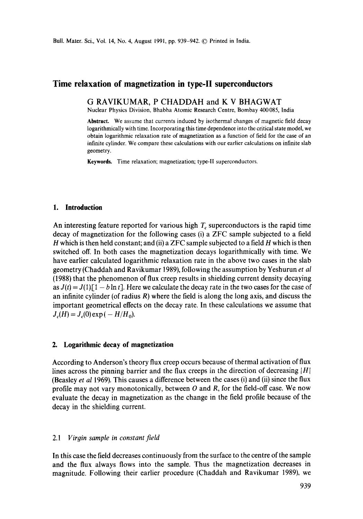# **Time relaxation of magnetization in type-II superconductors**

**G RAVIKUMAR, P** CHADDAH and **K V** BHAGWAT

Nuclear Physics Division, Bhabha Atomic Research Centre, Bombay 400085, India

**Abstract.** We assume that currents induced by isothermal changes of magnetic field decay logarithmically with time. Incorporating this time dependence into the critical state model, we obtain logarithmic relaxation rate of magnetization as a function of field for the case of an infinite cylinder. We compare these calculations with our earlier calculations on infinite slab geometry.

**Keywords.** Time relaxation; magnetization; type-II superconductors.

#### **1. Introduction**

An interesting feature reported for various high  $T_c$  superconductors is the rapid time decay of magnetization for the following cases (i) a ZFC sample subjected to a field H which is then held constant; and (ii) a ZFC sample subjected to a field  $H$  which is then switched off. In both cases the magnetization decays logarithmically with time. We have earlier calculated logarithmic relaxation rate in the above two cases in the slab geometry (Chaddah and Ravikumar 1989), following the assumption by Yeshurun *et al*  (1988) that the phenomenon of flux creep results in shielding current density decaying as  $J(t) = J(1)[1 - b \ln t]$ . Here we calculate the decay rate in the two cases for the case of an infinite cylinder (of radius  $R$ ) where the field is along the long axis, and discuss the important geometrical effects on the decay rate. In these calculations we assume that  $J_c(H) = J_c(0) \exp(-H/H_0)$ .

### **2. Logarithmic decay of magnetization**

According to Anderson's theory flux creep occurs because of thermal activation of flux lines across the pinning barrier and the flux creeps in the direction of decreasing  $|H|$ (Beasley *et al* 1969). This causes a difference between the cases (i) and (ii) since the flux profile may not vary monotonically, between  $O$  and  $R$ , for the field-off case. We now evaluate the decay in magnetization as the change in the field profile because of the decay in the shielding current.

### 2.1 *Virgin sample in constant field*

In this case the field decreases continuously from the surface to the centre of the sample and the flux always flows into the sample. Thus the magnetization decreases in magnitude. Following their earlier procedure (Chaddah and Ravikumar 1989), we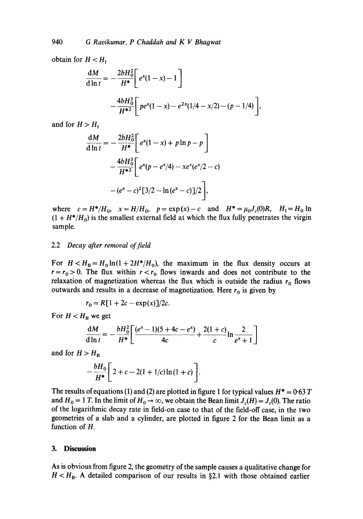obtain for  $H < H_1$ 

$$
\frac{dM}{d \ln t} = -\frac{2bH_0^2}{H^*} \left[ e^x (1-x) - 1 \right] \n- \frac{4bH_0^3}{H^{*2}} \left[ pe^x (1-x) - e^{2x} (1/4 - x/2) - (p-1/4) \right],
$$

and for  $H > H_1$ 

$$
\frac{dM}{d\ln t} = -\frac{2bH_0^2}{H^*} \left[ e^x (1-x) + p \ln p - p \right] \n- \frac{4bH_0^3}{H^{*2}} \left[ e^x (p - e^x/4) - x e^x (e^x/2 - c) \right] \n- (e^x - c)^2 [3/2 - \ln(e^x - c)]/2 \bigg],
$$

where  $c=H^*/H_0$ ,  $x=H/H_0$ ,  $p=\exp(x)-c$  and  $H^*=\mu_0J_c(0)R$ ,  $H_1=H_0$  ln  $(1 + H^*/H_0)$  is the smallest external field at which the flux fully penetrates the virgin sample.

#### 2.2 *Decay after removal of field*

For  $H < H_{II} = H_0 \ln(1 + 2H^*/H_0)$ , the maximum in the flux density occurs at  $r = r_0 > 0$ . The flux within  $r < r_0$  flows inwards and does not contribute to the relaxation of magnetization whereas the flux which is outside the radius  $r_0$  flows outwards and results in a decrease of magnetization. Here  $r_0$  is given by

$$
r_0 = R[1 + 2c - \exp(x)]/2c.
$$

For  $H < H_{II}$  we get

$$
\frac{dM}{dh t} = -\frac{bH_0^2}{H^*} \bigg[ \frac{(e^x - 1)(5 + 4c - e^x)}{4c} + \frac{2(1+c)}{c} \ln \frac{2}{e^x + 1} \bigg]
$$

and for  $H > H<sub>II</sub>$ 

$$
-\frac{bH_0}{H^*}\bigg[2+c-2(1+1/c)\ln(1+c)\bigg].
$$

The results of equations (1) and (2) are plotted in figure 1 for typical values  $H^* = 0.63 T$ and  $H_0 = 1$  T. In the limit of  $H_0 \to \infty$ , we obtain the Bean limit  $J_c(H) = J_c(0)$ . The ratio of the logarithmic decay rate in field-on case to that of the field-off case, in the two geometries of a slab and a cylinder, are plotted in figure 2 for the Bean limit as a function of H.

#### **3. Discussion**

As is obvious from figure 2, the geometry of the sample causes a qualitative change for  $H < H_{II}$ . A detailed comparison of our results in §2.1 with those obtained earlier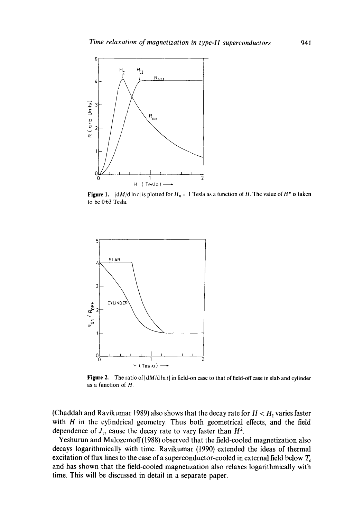

Figure 1.  $\vert dM/d \ln t \vert$  is plotted for  $H_0 = 1$  Tesla as a function of H. The value of  $H^*$  is taken to be 0.63 Tesla.



Figure 2. The ratio of  $\left|\frac{dM}{d\ln t}\right|$  in field-on case to that of field-off case in slab and cylinder as a function of H.

(Chaddah and Ravikumar 1989) also shows that the decay rate for  $H < H<sub>1</sub>$  varies faster with  $H$  in the cylindrical geometry. Thus both geometrical effects, and the field dependence of  $J_c$ , cause the decay rate to vary faster than  $H^2$ .

Yeshurun and Malozemoff(1988) observed that the field-cooled magnetization also decays logarithmically with time. Ravikumar (1990) extended the ideas of thermal excitation of flux lines to the case of a superconductor-cooled in external field below  $T_c$ and has shown that the field-cooled magnetization also relaxes logarithmically with time. This will be discussed in detail in a separate paper.